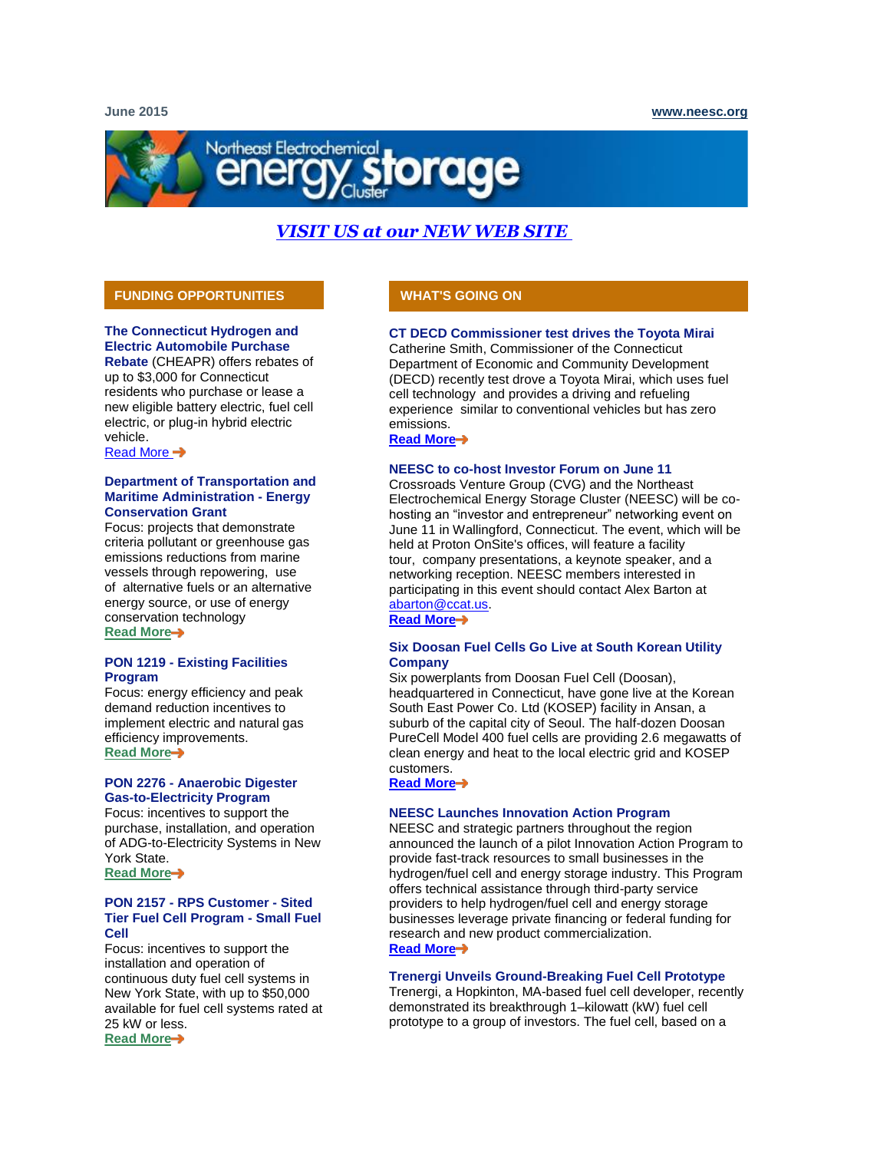# Northeast Electrochemical

# *[VISIT US at our NEW WEB SITE](http://click.icptrack.com/icp/relay.php?r=63909586&msgid=551316&act=2SSF&c=1103991&destination=http%3A%2F%2Fneesc.org%2F)*

### **FUNDING OPPORTUNITIES**

#### **The Connecticut Hydrogen and Electric Automobile Purchase**

**Rebate** (CHEAPR) offers rebates of up to \$3,000 for Connecticut residents who purchase or lease a new eligible battery electric, fuel cell electric, or plug-in hybrid electric vehicle.

[Read More](http://click.icptrack.com/icp/relay.php?r=63909586&msgid=551316&act=2SSF&c=1103991&destination=http%3A%2F%2Fwww.ct.gov%2Fdeep%2Fcwp%2Fview.asp%3Fa%3D2684%26q%3D561422%26deepNav_GID%3D2183) →

#### **Department of Transportation and Maritime Administration - Energy Conservation Grant**

Focus: projects that demonstrate criteria pollutant or greenhouse gas emissions reductions from marine vessels through repowering, use of alternative fuels or an alternative energy source, or use of energy conservation technology **[Read More](http://click.icptrack.com/icp/relay.php?r=63909586&msgid=551316&act=2SSF&c=1103991&destination=http%3A%2F%2Fwww.grants.gov%2Fweb%2Fgrants%2Fview-opportunity.html%3FoppId%3D276457)**

#### **PON 1219 - Existing Facilities Program**

Focus: energy efficiency and peak demand reduction incentives to implement electric and natural gas efficiency improvements. **[Read More](http://click.icptrack.com/icp/relay.php?r=63909586&msgid=551316&act=2SSF&c=1103991&destination=http%3A%2F%2Fwww.nyserda.ny.gov%2FFunding-Opportunities%2FCurrent-Funding-Opportunities%2FPON-1219-Existing-Facilities-Program)**

#### **PON 2276 - Anaerobic Digester Gas-to-Electricity Program**

Focus: incentives to support the purchase, installation, and operation of ADG-to-Electricity Systems in New York State. **[Read More](http://click.icptrack.com/icp/relay.php?r=63909586&msgid=551316&act=2SSF&c=1103991&destination=http%3A%2F%2Fwww.nyserda.ny.gov%2FAbout%2FRenewable-Portfolio-Standard%2FCustomer-Sited-Tier)**

#### **PON 2157 - RPS Customer - Sited Tier Fuel Cell Program - Small Fuel Cell**

Focus: incentives to support the installation and operation of continuous duty fuel cell systems in New York State, with up to \$50,000 available for fuel cell systems rated at 25 kW or less. **[Read More](http://click.icptrack.com/icp/relay.php?r=63909586&msgid=551316&act=2SSF&c=1103991&destination=http%3A%2F%2Fwww.nyserda.ny.gov%2FFunding-Opportunities%2FCurrent-Funding-Opportunities%2FPON-2157-Renewable-Portfolio-Standard-Customer-Sited-Tier-Fuel-Cell-Program-small)**

### **WHAT'S GOING ON**

#### **CT DECD Commissioner test drives the Toyota Mirai**

Catherine Smith, Commissioner of the Connecticut Department of Economic and Community Development (DECD) recently test drove a Toyota Mirai, which uses fuel cell technology and provides a driving and refueling experience similar to conventional vehicles but has zero emissions.

**[Read More](http://click.icptrack.com/icp/relay.php?r=63909586&msgid=551316&act=2SSF&c=1103991&destination=http%3A%2F%2Fevents.r20.constantcontact.com%2Fregister%2Fevent%3Foeidk%3Da07e9jl83wv9490b017%26llr%3Dg5hnidhab)**

#### **NEESC to co-host Investor Forum on June 11**

Crossroads Venture Group (CVG) and the Northeast Electrochemical Energy Storage Cluster (NEESC) will be cohosting an "investor and entrepreneur" networking event on June 11 in Wallingford, Connecticut. The event, which will be held at Proton OnSite's offices, will feature a facility tour, company presentations, a keynote speaker, and a networking reception. NEESC members interested in participating in this event should contact Alex Barton at [abarton@ccat.us.](mailto:abarton@ccat.us)

**[Read More](http://click.icptrack.com/icp/relay.php?r=63909586&msgid=551316&act=2SSF&c=1103991&destination=http%3A%2F%2Fevents.r20.constantcontact.com%2Fregister%2Fevent%3Foeidk%3Da07e9jl83wv9490b017%26llr%3Dg5hnidhab)**

#### **Six Doosan Fuel Cells Go Live at South Korean Utility Company**

Six powerplants from Doosan Fuel Cell (Doosan), headquartered in Connecticut, have gone live at the Korean South East Power Co. Ltd (KOSEP) facility in Ansan, a suburb of the capital city of Seoul. The half-dozen Doosan PureCell Model 400 fuel cells are providing 2.6 megawatts of clean energy and heat to the local electric grid and KOSEP customers.

**[Read More](http://click.icptrack.com/icp/relay.php?r=63909586&msgid=551316&act=2SSF&c=1103991&destination=http%3A%2F%2Fwww.doosanfuelcell.com%2Fen%2Fresources%2Freleases_view.do%3Fpage%3D1%26pressSeq%3D20150506100144094789%26parSrchTxt%3D%26contentsCode%3D7041)**

#### **NEESC Launches Innovation Action Program**

NEESC and strategic partners throughout the region announced the launch of a pilot Innovation Action Program to provide fast-track resources to small businesses in the hydrogen/fuel cell and energy storage industry. This Program offers technical assistance through third-party service providers to help hydrogen/fuel cell and energy storage businesses leverage private financing or federal funding for research and new product commercialization. **[Read More](http://click.icptrack.com/icp/relay.php?r=63909586&msgid=551316&act=2SSF&c=1103991&destination=http%3A%2F%2Fiap.neesc.org%2F)**

#### **Trenergi Unveils Ground-Breaking Fuel Cell Prototype**

Trenergi, a Hopkinton, MA-based fuel cell developer, recently demonstrated its breakthrough 1–kilowatt (kW) fuel cell prototype to a group of investors. The fuel cell, based on a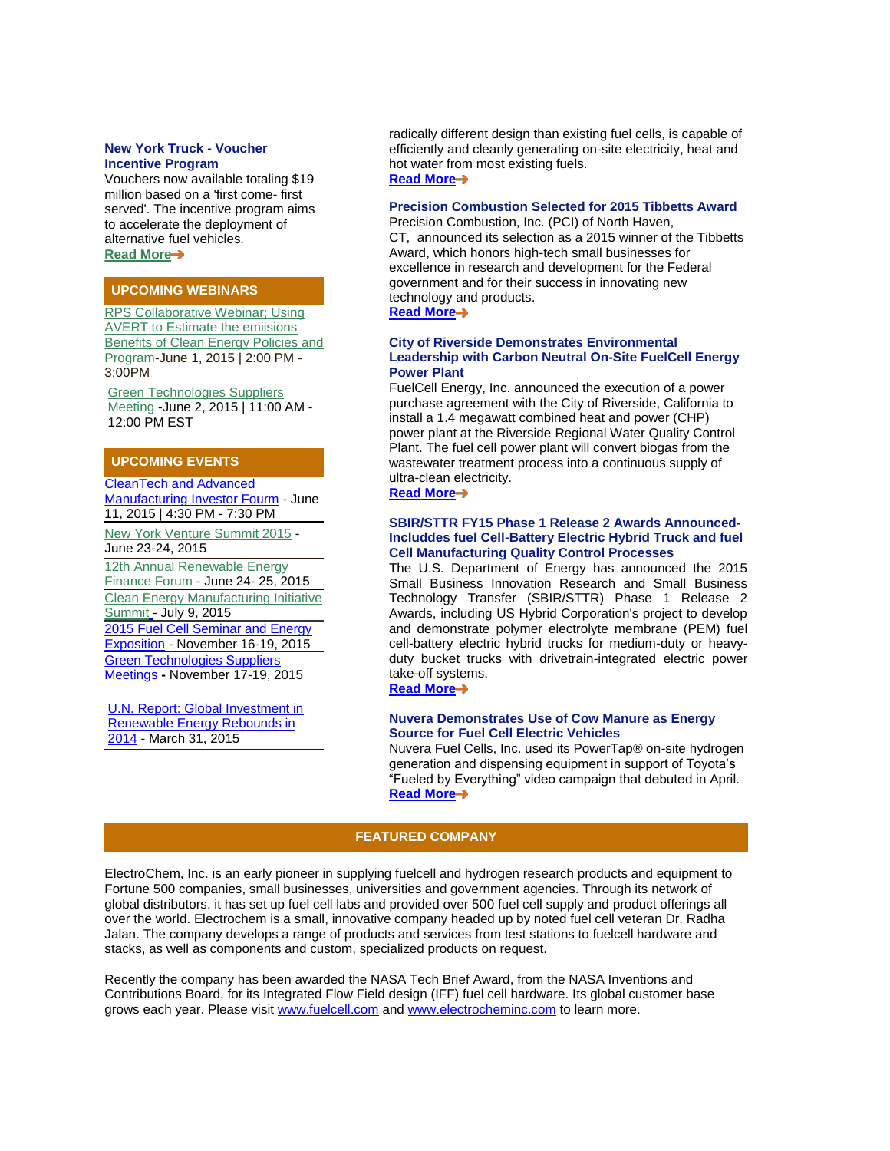#### **New York Truck - Voucher Incentive Program**

Vouchers now available totaling \$19 million based on a 'first come- first served'. The incentive program aims to accelerate the deployment of alternative fuel vehicles. **[Read More](http://click.icptrack.com/icp/relay.php?r=63909586&msgid=551316&act=2SSF&c=1103991&destination=https%3A%2F%2Ftruck-vip.ny.gov%2Fabout.php)**

#### **UPCOMING WEBINARS**

[RPS Collaborative Webinar; Using](http://click.icptrack.com/icp/relay.php?r=63909586&msgid=551316&act=2SSF&c=1103991&destination=http%3A%2F%2Fwww.cesa.org%2Fwebinars%2Fshowevent%2Frps-collaborative-webinar-using-avert-to-estimate-the-emissions-benefits-of-clean-energy-policies-and-programs%3Fd%3D2015-06-01)  **AVERT to Estimate the emiisions Benefits of Clean Energy Policies and** [Program-](http://click.icptrack.com/icp/relay.php?r=63909586&msgid=551316&act=2SSF&c=1103991&destination=http%3A%2F%2Fwww.cesa.org%2Fwebinars%2Fshowevent%2Frps-collaborative-webinar-using-avert-to-estimate-the-emissions-benefits-of-clean-energy-policies-and-programs%3Fd%3D2015-06-01)June 1, 2015 | 2:00 PM - 3:00PM

[Green Technologies Suppliers](http://click.icptrack.com/icp/relay.php?r=63909586&msgid=551316&act=2SSF&c=1103991&destination=https%3A%2F%2Fwww.dropbox.com%2Fs%2Fci19yfza04c7an6%2FGTSM%2520Flyer.pdf%3Fdl%3D0)  [Meeting](http://click.icptrack.com/icp/relay.php?r=63909586&msgid=551316&act=2SSF&c=1103991&destination=https%3A%2F%2Fwww.dropbox.com%2Fs%2Fci19yfza04c7an6%2FGTSM%2520Flyer.pdf%3Fdl%3D0) -June 2, 2015 | 11:00 AM - 12:00 PM EST

#### **UPCOMING EVENTS**

[CleanTech and Advanced](http://click.icptrack.com/icp/relay.php?r=63909586&msgid=551316&act=2SSF&c=1103991&destination=http%3A%2F%2Fevents.r20.constantcontact.com%2Fregister%2Fevent%3Foeidk%3Da07e9jl83wv9490b017%26llr%3Dg5hnidhab)  [Manufacturing Investor Fourm](http://click.icptrack.com/icp/relay.php?r=63909586&msgid=551316&act=2SSF&c=1103991&destination=http%3A%2F%2Fevents.r20.constantcontact.com%2Fregister%2Fevent%3Foeidk%3Da07e9jl83wv9490b017%26llr%3Dg5hnidhab) - June 11, 2015 | 4:30 PM - 7:30 PM

[New York Venture Summit 2015](http://click.icptrack.com/icp/relay.php?r=63909586&msgid=551316&act=2SSF&c=1103991&destination=http%3A%2F%2Fwww.youngstartup.com%2Fnewyork2015%2Fbio.php%3Fid%3D2628) - June 23-24, 2015

12th Annual Renewable Energy Finance Forum - June 24- 25, 2015 [Clean Energy Manufacturing Initiative](http://click.icptrack.com/icp/relay.php?r=63909586&msgid=551316&act=2SSF&c=1103991&destination=https%3A%2F%2Fww2.eventrebels.com%2Fer%2FRegistration%2FStepRegInfo.jsp%3FActivityID%3D13275%26StepNumber%3D1)  [Summit](http://click.icptrack.com/icp/relay.php?r=63909586&msgid=551316&act=2SSF&c=1103991&destination=https%3A%2F%2Fww2.eventrebels.com%2Fer%2FRegistration%2FStepRegInfo.jsp%3FActivityID%3D13275%26StepNumber%3D1) - July 9, 2015 [2015 Fuel Cell Seminar and Energy](http://click.icptrack.com/icp/relay.php?r=63909586&msgid=551316&act=2SSF&c=1103991&destination=http%3A%2F%2Ffuelcellseminar.com%2F)  [Exposition](http://click.icptrack.com/icp/relay.php?r=63909586&msgid=551316&act=2SSF&c=1103991&destination=http%3A%2F%2Ffuelcellseminar.com%2F) - November 16-19, 2015 [Green Technologies Suppliers](http://click.icptrack.com/icp/relay.php?r=63909586&msgid=551316&act=2SSF&c=1103991&destination=http%3A%2F%2Fwww.gtsmeetings.com%2F)  [Meetings](http://click.icptrack.com/icp/relay.php?r=63909586&msgid=551316&act=2SSF&c=1103991&destination=http%3A%2F%2Fwww.gtsmeetings.com%2F) **-** November 17-19, 2015

[U.N. Report: Global Investment in](http://click.icptrack.com/icp/relay.php?r=63909586&msgid=551316&act=2SSF&c=1103991&destination=http%3A%2F%2Fapps1.eere.energy.gov%2Fnews%2Fnews_detail.cfm%2Fnews_id%3D21906)  [Renewable Energy Rebounds in](http://click.icptrack.com/icp/relay.php?r=63909586&msgid=551316&act=2SSF&c=1103991&destination=http%3A%2F%2Fapps1.eere.energy.gov%2Fnews%2Fnews_detail.cfm%2Fnews_id%3D21906)  [2014](http://click.icptrack.com/icp/relay.php?r=63909586&msgid=551316&act=2SSF&c=1103991&destination=http%3A%2F%2Fapps1.eere.energy.gov%2Fnews%2Fnews_detail.cfm%2Fnews_id%3D21906) - March 31, 2015

radically different design than existing fuel cells, is capable of efficiently and cleanly generating on-site electricity, heat and hot water from most existing fuels. **[Read More](http://click.icptrack.com/icp/relay.php?r=63909586&msgid=551316&act=2SSF&c=1103991&destination=http%3A%2F%2Fwww.trenergi.com%2Fmedia%2F)**

#### **Precision Combustion Selected for 2015 Tibbetts Award**

Precision Combustion, Inc. (PCI) of North Haven, CT, announced its selection as a 2015 winner of the Tibbetts Award, which honors high-tech small businesses for excellence in research and development for the Federal government and for their success in innovating new technology and products. **[Read More](http://click.icptrack.com/icp/relay.php?r=63909586&msgid=551316&act=2SSF&c=1103991&destination=http%3A%2F%2Fprecision-combustion.com%2Fnews2015_05_28.html)**

#### **City of Riverside Demonstrates Environmental Leadership with Carbon Neutral On-Site FuelCell Energy Power Plant**

FuelCell Energy, Inc. announced the execution of a power purchase agreement with the City of Riverside, California to install a 1.4 megawatt combined heat and power (CHP) power plant at the Riverside Regional Water Quality Control Plant. The fuel cell power plant will convert biogas from the wastewater treatment process into a continuous supply of ultra-clean electricity. **[Read More](http://click.icptrack.com/icp/relay.php?r=63909586&msgid=551316&act=2SSF&c=1103991&destination=http%3A%2F%2Ffcel.client.shareholder.com%2Freleasedetail.cfm%3FReleaseID%3D913202)**

#### **SBIR/STTR FY15 Phase 1 Release 2 Awards Announced-Includdes fuel Cell-Battery Electric Hybrid Truck and fuel Cell Manufacturing Quality Control Processes**

The U.S. Department of Energy has announced the 2015 Small Business Innovation Research and Small Business Technology Transfer (SBIR/STTR) Phase 1 Release 2 Awards, including US Hybrid Corporation's project to develop and demonstrate polymer electrolyte membrane (PEM) fuel cell-battery electric hybrid trucks for medium-duty or heavyduty bucket trucks with drivetrain-integrated electric power take-off systems.

**[Read More](http://click.icptrack.com/icp/relay.php?r=63909586&msgid=551316&act=2SSF&c=1103991&destination=http%3A%2F%2Fenergy.gov%2Feere%2Ftransportation%2Fhydrogen-and-fuel-cells)**

#### **Nuvera Demonstrates Use of Cow Manure as Energy Source for Fuel Cell Electric Vehicles**

Nuvera Fuel Cells, Inc. used its PowerTap® on-site hydrogen generation and dispensing equipment in support of Toyota's "Fueled by Everything" video campaign that debuted in April. **[Read More](http://click.icptrack.com/icp/relay.php?r=63909586&msgid=551316&act=2SSF&c=1103991&destination=http%3A%2F%2Fwww.nuvera.com%2Fpressroom%2Fpress-releases%2F192-biogas-demonstration)**

#### **FEATURED COMPANY**

ElectroChem, Inc. is an early pioneer in supplying fuelcell and hydrogen research products and equipment to Fortune 500 companies, small businesses, universities and government agencies. Through its network of global distributors, it has set up fuel cell labs and provided over 500 fuel cell supply and product offerings all over the world. Electrochem is a small, innovative company headed up by noted fuel cell veteran Dr. Radha Jalan. The company develops a range of products and services from test stations to fuelcell hardware and stacks, as well as components and custom, specialized products on request.

Recently the company has been awarded the NASA Tech Brief Award, from the NASA Inventions and Contributions Board, for its Integrated Flow Field design (IFF) fuel cell hardware. Its global customer base grows each year. Please visit [www.fuelcell.com](http://click.icptrack.com/icp/relay.php?r=63909586&msgid=551316&act=2SSF&c=1103991&destination=http%3A%2F%2Ffuelcell.com%2F) an[d www.electrocheminc.com](http://click.icptrack.com/icp/relay.php?r=63909586&msgid=551316&act=2SSF&c=1103991&destination=http%3A%2F%2Felectrocheminc.com%2F) to learn more.